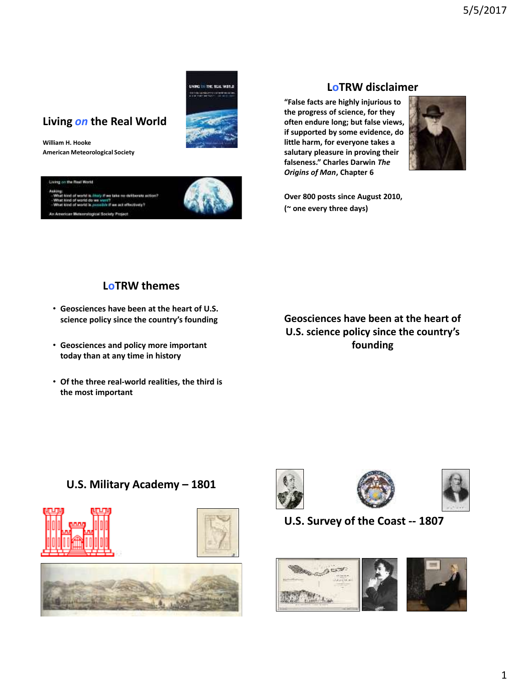# UNING THE THE REAL WORLD **SALES OF BEATING**

# **Living** *on* **the Real World**

**William H. Hooke American Meteorological Society**



## **LoTRW disclaimer**

**"False facts are highly injurious to the progress of science, for they often endure long; but false views, if supported by some evidence, do little harm, for everyone takes a salutary pleasure in proving their falseness." Charles Darwin** *The Origins of Man***, Chapter 6**



**Over 800 posts since August 2010, (~ one every three days)**

## **LoTRW themes**

- **Geosciences have been at the heart of U.S. science policy since the country's founding**
- **Geosciences and policy more important today than at any time in history**
- **Of the three real-world realities, the third is the most important**

**Geosciences have been at the heart of U.S. science policy since the country's founding**

## **U.S. Military Academy – 1801**













## **U.S. Survey of the Coast -- 1807**

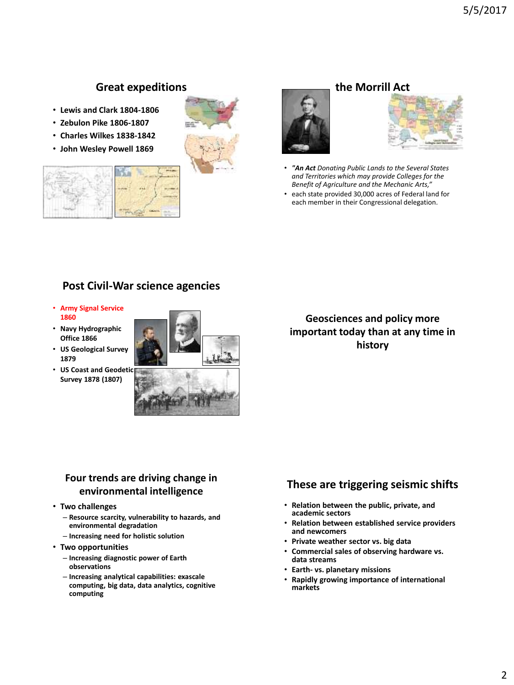## **Great expeditions**

- **Lewis and Clark 1804-1806**
- **Zebulon Pike 1806-1807**
- **Charles Wilkes 1838-1842**
- **John Wesley Powell 1869**







## **the Morrill Act**



- *"An Act Donating Public Lands to the Several States and Territories which may provide Colleges for the Benefit of Agriculture and the Mechanic Arts,"*
- each state provided 30,000 acres of Federal land for each member in their Congressional delegation.

## **Post Civil-War science agencies**

- **Army Signal Service 1860**
- **Navy Hydrographic Office 1866**
- **US Geological Survey 1879**
- **US Coast and Geodetic Survey 1878 (1807)**



## **Geosciences and policy more important today than at any time in history**

## **Four trends are driving change in environmental intelligence**

#### • **Two challenges**

- **Resource scarcity, vulnerability to hazards, and environmental degradation**
- **Increasing need for holistic solution**

#### • **Two opportunities**

- **Increasing diagnostic power of Earth observations**
- **Increasing analytical capabilities: exascale computing, big data, data analytics, cognitive computing**

## **These are triggering seismic shifts**

- **Relation between the public, private, and academic sectors**
- **Relation between established service providers and newcomers**
- **Private weather sector vs. big data**
- **Commercial sales of observing hardware vs. data streams**
- **Earth- vs. planetary missions**
- **Rapidly growing importance of international markets**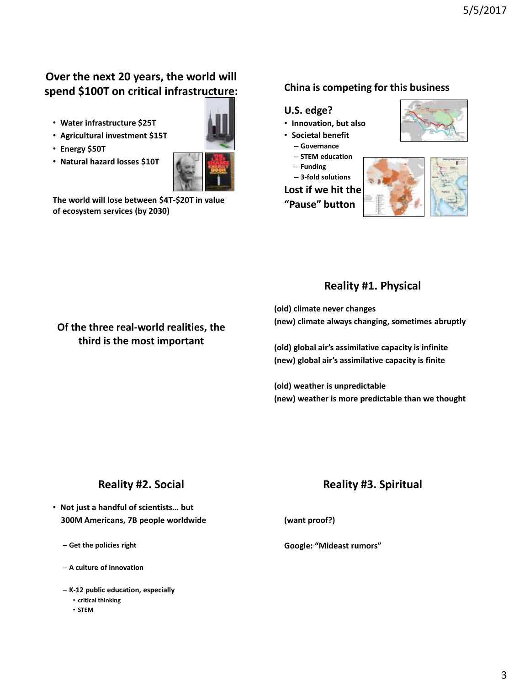# **Over the next 20 years, the world will spend \$100T on critical infrastructure:**

- **Water infrastructure \$25T**
- **Agricultural investment \$15T**
- **Energy \$50T**
- **Natural hazard losses \$10T**



**The world will lose between \$4T-\$20T in value of ecosystem services (by 2030)**

**Of the three real-world realities, the third is the most important**

## **China is competing for this business**

#### **U.S. edge?**

- **Innovation, but also**
- **Societal benefit**
	- **Governance**
	- **STEM education**
- **Funding**

– **3-fold solutions**

**Lost if we hit the**

**"Pause" button**





## **Reality #1. Physical**

**(old) climate never changes (new) climate always changing, sometimes abruptly**

**(old) global air's assimilative capacity is infinite (new) global air's assimilative capacity is finite**

**(old) weather is unpredictable (new) weather is more predictable than we thought**

## **Reality #2. Social**

- **Not just a handful of scientists… but 300M Americans, 7B people worldwide**
	- **Get the policies right**
	- **A culture of innovation**
	- **K-12 public education, especially** 
		- **critical thinking**
		- **STEM**

## **Reality #3. Spiritual**

**(want proof?)**

**Google: "Mideast rumors"**